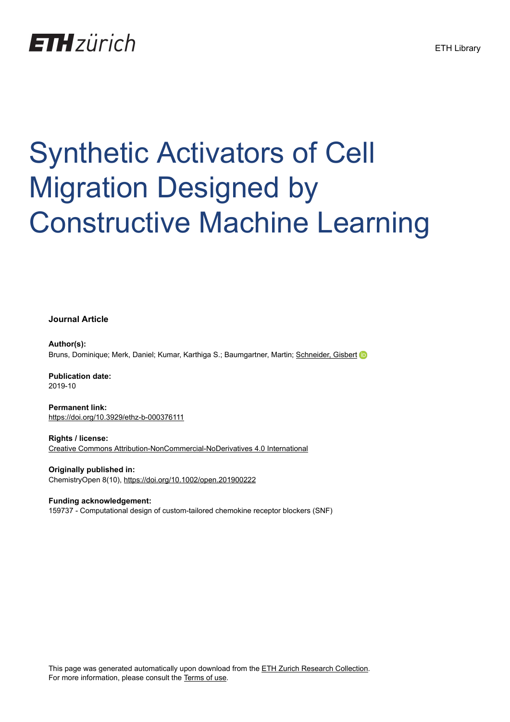## **ETH** zürich

# Synthetic Activators of Cell Migration Designed by Constructive Machine Learning

**Journal Article**

**Author(s):** Bruns, Dominique; Merk, Daniel; Kumar, Karthiga S.; Baumgartner, Martin; [Schneider, Gisbert](https://orcid.org/0000-0001-6706-1084)

**Publication date:** 2019-10

**Permanent link:** <https://doi.org/10.3929/ethz-b-000376111>

**Rights / license:** [Creative Commons Attribution-NonCommercial-NoDerivatives 4.0 International](http://creativecommons.org/licenses/by-nc-nd/4.0/)

**Originally published in:** ChemistryOpen 8(10), <https://doi.org/10.1002/open.201900222>

**Funding acknowledgement:** 159737 - Computational design of custom-tailored chemokine receptor blockers (SNF)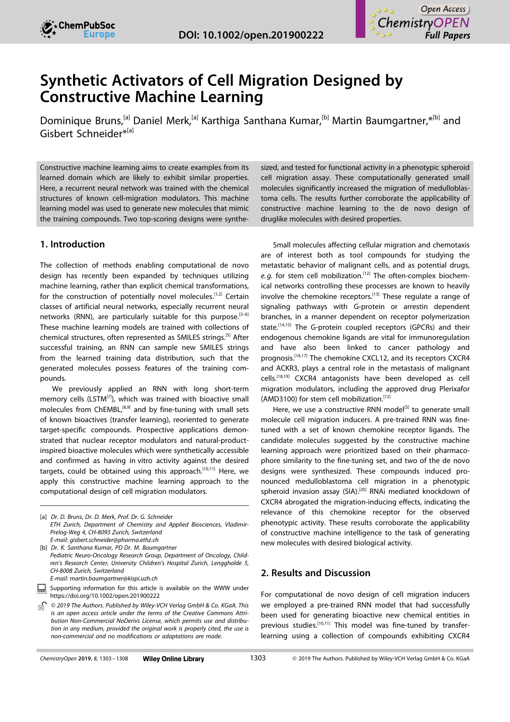



### **Synthetic Activators of Cell Migration Designed by Constructive Machine Learning**

[Dominique](http://orcid.org/0000-0002-6058-4509) Bruns,<sup>[a]</sup> Daniel Merk,<sup>[a]</sup> Karthiga Santhana Kumar,<sup>[b]</sup> Martin Baumgartner, \*<sup>[b]</sup> and Gisbert Schneider\*[a]

Constructive machine learning aims to create examples from its learned domain which are likely to exhibit similar properties. Here, a recurrent neural network was trained with the chemical structures of known cell-migration modulators. This machine learning model was used to generate new molecules that mimic the training compounds. Two top-scoring designs were synthe-

#### **1. Introduction**

The collection of methods enabling computational de novo design has recently been expanded by techniques utilizing machine learning, rather than explicit chemical transformations, for the construction of potentially novel molecules.<sup>[1,2]</sup> Certain classes of artificial neural networks, especially recurrent neural networks (RNN), are particularly suitable for this purpose.<sup>[3-6]</sup> These machine learning models are trained with collections of chemical structures, often represented as SMILES strings.[5] After successful training, an RNN can sample new SMILES strings from the learned training data distribution, such that the generated molecules possess features of the training compounds.

We previously applied an RNN with long short-term memory cells (LSTM<sup>[7]</sup>), which was trained with bioactive small molecules from ChEMBL,<sup>[8,9]</sup> and by fine-tuning with small sets of known bioactives (transfer learning), reoriented to generate target-specific compounds. Prospective applications demonstrated that nuclear receptor modulators and natural-productinspired bioactive molecules which were synthetically accessible and confirmed as having in vitro activity against the desired targets, could be obtained using this approach.<sup>[10,11]</sup> Here, we apply this constructive machine learning approach to the computational design of cell migration modulators.

sized, and tested for functional activity in a phenotypic spheroid cell migration assay. These computationally generated small molecules significantly increased the migration of medulloblastoma cells. The results further corroborate the applicability of constructive machine learning to the de novo design of druglike molecules with desired properties.

Small molecules affecting cellular migration and chemotaxis are of interest both as tool compounds for studying the metastatic behavior of malignant cells, and as potential drugs, e.g. for stem cell mobilization.<sup>[12]</sup> The often-complex biochemical networks controlling these processes are known to heavily involve the chemokine receptors.<sup>[13]</sup> These regulate a range of signaling pathways with G-protein or arrestin dependent branches, in a manner dependent on receptor polymerization state.<sup>[14,15]</sup> The G-protein coupled receptors (GPCRs) and their endogenous chemokine ligands are vital for immunoregulation and have also been linked to cancer pathology and prognosis.<sup>[16,17]</sup> The chemokine CXCL12, and its receptors CXCR4 and ACKR3, plays a central role in the metastasis of malignant cells.[18,19] CXCR4 antagonists have been developed as cell migration modulators, including the approved drug Plerixafor (AMD3100) for stem cell mobilization. $^{[12]}$ 

Here, we use a constructive RNN model<sup>[5]</sup> to generate small molecule cell migration inducers. A pre-trained RNN was finetuned with a set of known chemokine receptor ligands. The candidate molecules suggested by the constructive machine learning approach were prioritized based on their pharmacophore similarity to the fine-tuning set, and two of the de novo designs were synthesized. These compounds induced pronounced medulloblastoma cell migration in a phenotypic spheroid invasion assay (SIA).<sup>[20]</sup> RNAi mediated knockdown of CXCR4 abrogated the migration-inducing effects, indicating the relevance of this chemokine receptor for the observed phenotypic activity. These results corroborate the applicability of constructive machine intelligence to the task of generating new molecules with desired biological activity.

#### **2. Results and Discussion**

For computational de novo design of cell migration inducers we employed a pre-trained RNN model that had successfully been used for generating bioactive new chemical entities in previous studies.<sup>[10,11]</sup> This model was fine-tuned by transferlearning using a collection of compounds exhibiting CXCR4

<sup>[</sup>a] *Dr. D. Bruns, Dr. D. Merk, Prof. Dr. G. Schneider ETH Zurich, Department of Chemistry and Applied Biosciences, Vladimir-Prelog-Weg 4, CH-8093 Zurich, Switzerland E-mail: gisbert.schneider@pharma.ethz.ch*

<sup>[</sup>b] *Dr. K. Santhana Kumar, PD Dr. M. Baumgartner Pediatric Neuro-Oncology Research Group, Department of Oncology, Children's Research Center, University Children's Hospital Zurich, Lengghalde 5, CH-8008 Zurich, Switzerland E-mail: martin.baumgartner@kispi.uzh.ch*

Supporting information for this article is available on the WWW under <https://doi.org/10.1002/open.201900222>

*<sup>©</sup> 2019 The Authors. Published by Wiley-VCH Verlag GmbH & Co. KGaA. This is an open access article under the terms of the Creative Commons Attribution Non-Commercial NoDerivs License, which permits use and distribution in any medium, provided the original work is properly cited, the use is non-commercial and no modifications or adaptations are made.*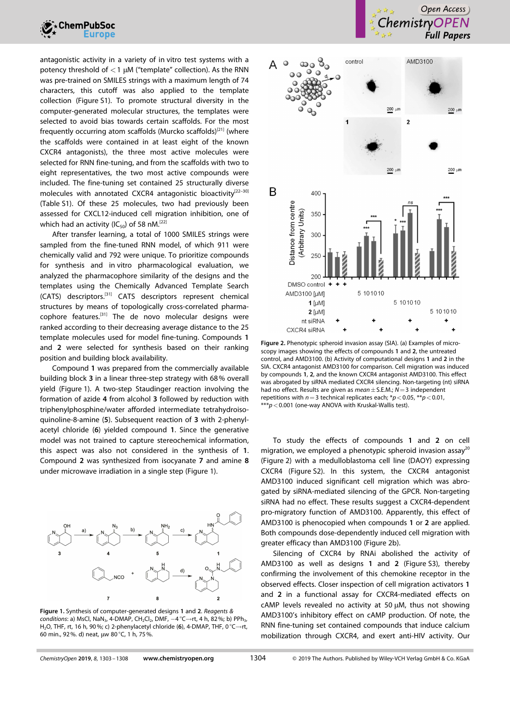

antagonistic activity in a variety of in vitro test systems with a potency threshold of *<*1 μM ("template" collection). As the RNN was pre-trained on SMILES strings with a maximum length of 74 characters, this cutoff was also applied to the template collection (Figure S1). To promote structural diversity in the computer-generated molecular structures, the templates were selected to avoid bias towards certain scaffolds. For the most frequently occurring atom scaffolds (Murcko scaffolds)<sup>[21]</sup> (where the scaffolds were contained in at least eight of the known CXCR4 antagonists), the three most active molecules were selected for RNN fine-tuning, and from the scaffolds with two to eight representatives, the two most active compounds were included. The fine-tuning set contained 25 structurally diverse molecules with annotated CXCR4 antagonistic bioactivity<sup>[22-30]</sup> (Table S1). Of these 25 molecules, two had previously been assessed for CXCL12-induced cell migration inhibition, one of which had an activity ( $IC_{50}$ ) of 58 nM.<sup>[22]</sup>

After transfer learning, a total of 1000 SMILES strings were sampled from the fine-tuned RNN model, of which 911 were chemically valid and 792 were unique. To prioritize compounds for synthesis and in vitro pharmacological evaluation, we analyzed the pharmacophore similarity of the designs and the templates using the Chemically Advanced Template Search (CATS) descriptors.[31] CATS descriptors represent chemical structures by means of topologically cross-correlated pharmacophore features.[31] The de novo molecular designs were ranked according to their decreasing average distance to the 25 template molecules used for model fine-tuning. Compounds **1** and **2** were selected for synthesis based on their ranking position and building block availability.

Compound **1** was prepared from the commercially available building block **3** in a linear three-step strategy with 68% overall yield (Figure 1). A two-step Staudinger reaction involving the formation of azide **4** from alcohol **3** followed by reduction with triphenylphosphine/water afforded intermediate tetrahydroisoquinoline-8-amine (**5**). Subsequent reaction of **3** with 2-phenylacetyl chloride (**6**) yielded compound **1**. Since the generative model was not trained to capture stereochemical information, this aspect was also not considered in the synthesis of **1**. Compound **2** was synthesized from isocyanate **7** and amine **8** under microwave irradiation in a single step (Figure 1).



**Figure 1.** Synthesis of computer-generated designs **1** and **2**. *Reagents & conditions*: a) MsCl, NaN<sub>3</sub>, 4-DMAP, CH<sub>2</sub>Cl<sub>2</sub>, DMF, -4 °C→rt, 4 h, 82%; b) PPh<sub>3</sub>, H<sub>2</sub>O, THF, rt, 16 h, 90%; c) 2-phenylacetyl chloride (6), 4-DMAP, THF, 0 °C→rt, 60 min., 92%. d) neat, μw 80°C, 1 h, 75%.





**Figure 2.** Phenotypic spheroid invasion assay (SIA). (a) Examples of microscopy images showing the effects of compounds **1** and **2**, the untreated control, and AMD3100. (b) Activity of computational designs **1** and **2** in the SIA. CXCR4 antagonist AMD3100 for comparison. Cell migration was induced by compounds **1**, **2**, and the known CXCR4 antagonist AMD3100. This effect was abrogated by siRNA mediated CXCR4 silencing. Non-targeting (nt) siRNA had no effect. Results are given as *mean*�S.E.M.; *N*=3 independent repetitions with *n*=3 technical replicates each; \**p<*0.05, \*\**p<*0.01, \*\*\**p<*0.001 (one-way ANOVA with Kruskal-Wallis test).

To study the effects of compounds **1** and **2** on cell migration, we employed a phenotypic spheroid invasion assay $^{20}$ (Figure 2) with a medulloblastoma cell line (DAOY) expressing CXCR4 (Figure S2). In this system, the CXCR4 antagonist AMD3100 induced significant cell migration which was abrogated by siRNA-mediated silencing of the GPCR. Non-targeting siRNA had no effect. These results suggest a CXCR4-dependent pro-migratory function of AMD3100. Apparently, this effect of AMD3100 is phenocopied when compounds **1** or **2** are applied. Both compounds dose-dependently induced cell migration with greater efficacy than AMD3100 (Figure 2b).

Silencing of CXCR4 by RNAi abolished the activity of AMD3100 as well as designs **1** and **2** (Figure S3), thereby confirming the involvement of this chemokine receptor in the observed effects. Closer inspection of cell migration activators **1** and **2** in a functional assay for CXCR4-mediated effects on cAMP levels revealed no activity at 50 μM, thus not showing AMD3100's inhibitory effect on cAMP production. Of note, the RNN fine-tuning set contained compounds that induce calcium mobilization through CXCR4, and exert anti-HIV activity. Our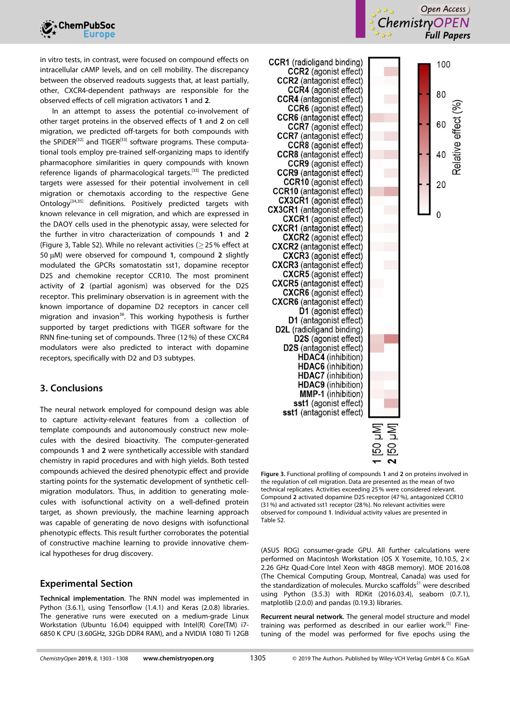

in vitro tests, in contrast, were focused on compound effects on intracellular cAMP levels, and on cell mobility. The discrepancy between the observed readouts suggests that, at least partially, other, CXCR4-dependent pathways are responsible for the observed effects of cell migration activators **1** and **2**.

In an attempt to assess the potential co-involvement of other target proteins in the observed effects of **1** and **2** on cell migration, we predicted off-targets for both compounds with the SPIDER<sup>[32]</sup> and TIGER<sup>[33]</sup> software programs. These computational tools employ pre-trained self-organizing maps to identify pharmacophore similarities in query compounds with known reference ligands of pharmacological targets.<sup>[33]</sup> The predicted targets were assessed for their potential involvement in cell migration or chemotaxis according to the respective Gene Ontology<sup>[34,35]</sup> definitions. Positively predicted targets with known relevance in cell migration, and which are expressed in the DAOY cells used in the phenotypic assay, were selected for the further in vitro characterization of compounds **1** and **2** (Figure 3, Table S2). While no relevant activities ( $\geq$  25% effect at 50 μM) were observed for compound **1**, compound **2** slightly modulated the GPCRs somatostatin sst1, dopamine receptor D2S and chemokine receptor CCR10. The most prominent activity of **2** (partial agonism) was observed for the D2S receptor. This preliminary observation is in agreement with the known importance of dopamine D2 receptors in cancer cell migration and invasion<sup>36</sup>. This working hypothesis is further supported by target predictions with TIGER software for the RNN fine-tuning set of compounds. Three (12%) of these CXCR4 modulators were also predicted to interact with dopamine receptors, specifically with D2 and D3 subtypes.

#### **3. Conclusions**

The neural network employed for compound design was able to capture activity-relevant features from a collection of template compounds and autonomously construct new molecules with the desired bioactivity. The computer-generated compounds **1** and **2** were synthetically accessible with standard chemistry in rapid procedures and with high yields. Both tested compounds achieved the desired phenotypic effect and provide starting points for the systematic development of synthetic cellmigration modulators. Thus, in addition to generating molecules with isofunctional activity on a well-defined protein target, as shown previously, the machine learning approach was capable of generating de novo designs with isofunctional phenotypic effects. This result further corroborates the potential of constructive machine learning to provide innovative chemical hypotheses for drug discovery.

#### **Experimental Section**

**Technical implementation**. The RNN model was implemented in Python (3.6.1), using Tensorflow (1.4.1) and Keras (2.0.8) libraries. The generative runs were executed on a medium-grade Linux Workstation (Ubuntu 16.04) equipped with Intel(R) Core(TM) i7- 6850 K CPU (3.60GHz, 32Gb DDR4 RAM), and a NVIDIA 1080 Ti 12GB







**Figure 3.** Functional profiling of compounds **1** and **2** on proteins involved in the regulation of cell migration. Data are presented as the mean of two technical replicates. Activities exceeding 25% were considered relevant. Compound **2** activated dopamine D2S receptor (47%), antagonized CCR10 (31%) and activated sst1 receptor (28%). No relevant activities were observed for compound **1**. Individual activity values are presented in Table S2.

IM

(ASUS ROG) consumer-grade GPU. All further calculations were performed on Macintosh Workstation (OS X Yosemite, 10.10.5, 2× 2.26 GHz Quad-Core Intel Xeon with 48GB memory). MOE 2016.08 (The Chemical Computing Group, Montreal, Canada) was used for the standardization of molecules. Murcko scaffolds $^{21}$  were described using Python (3.5.3) with RDKit (2016.03.4), seaborn (0.7.1), matplotlib (2.0.0) and pandas (0.19.3) libraries.

**Recurrent neural network**. The general model structure and model training was performed as described in our earlier work.<sup>[5]</sup> Finetuning of the model was performed for five epochs using the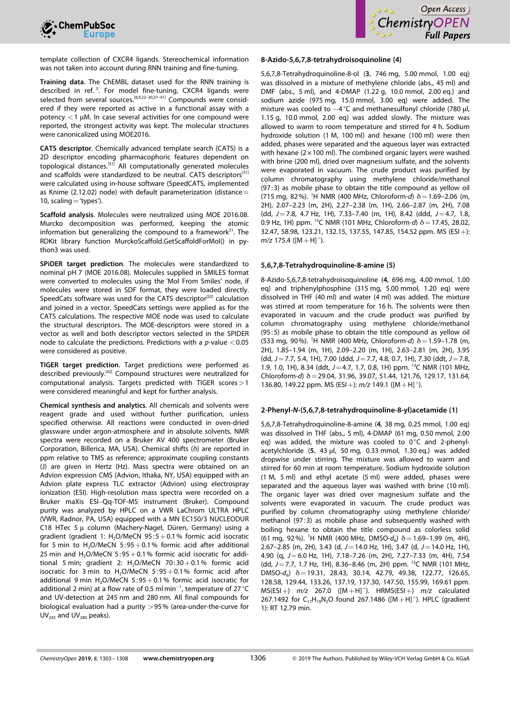



template collection of CXCR4 ligands. Stereochemical information was not taken into account during RNN training and fine-tuning.

**Training data**. The ChEMBL dataset used for the RNN training is described in ref.<sup>5</sup>. For model fine-tuning, CXCR4 ligands were selected from several sources.[8,9,22–30,37–41] Compounds were considered if they were reported as active in a functional assay with a potency *<*1 μM. In case several activities for one compound were reported, the strongest activity was kept. The molecular structures were canonicalized using MOE2016.

**CATS descriptor**. Chemically advanced template search (CATS) is a 2D descriptor encoding pharmacophoric features dependent on topological distances.[31] All computationally generated molecules and scaffolds were standardized to be neutral. CATS descriptors<sup>[31]</sup> were calculated using in-house software (SpeedCATS, implemented as Knime (2.12.02) node) with default parameterization (distance= 10, scaling  $=$  'types').

**Scaffold analysis**. Molecules were neutralized using MOE 2016.08. Murcko decomposition was performed, keeping the atomic information but generalizing the compound to a framework $21$ . The RDKit library function MurckoScaffold.GetScaffoldForMol() in python3 was used.

**SPiDER target prediction**. The molecules were standardized to nominal pH 7 (MOE 2016.08). Molecules supplied in SMILES format were converted to molecules using the 'Mol From Smiles' node, if molecules were stored in SDF format, they were loaded directly. SpeedCats software was used for the CATS descriptor<sup>[32]</sup> calculation and joined in a vector. SpeedCats settings were applied as for the CATS calculations. The respective MOE node was used to calculate the structural descriptors. The MOE-descriptors were stored in a vector as well and both descriptor vectors selected in the SPIDER node to calculate the predictions. Predictions with a *p*-value *<*0.05 were considered as positive.

**TIGER target prediction**. Target predictions were performed as described previously.[42] Compound structures were neutralized for computational analysis. Targets predicted with TIGER scores*>*1 were considered meaningful and kept for further analysis.

**Chemical synthesis and analytics**. All chemicals and solvents were reagent grade and used without further purification, unless specified otherwise. All reactions were conducted in oven-dried glassware under argon-atmosphere and in absolute solvents. NMR spectra were recorded on a Bruker AV 400 spectrometer (Bruker Corporation, Billerica, MA, USA). Chemical shifts (δ) are reported in ppm relative to TMS as reference; approximate coupling constants (J) are given in Hertz (Hz). Mass spectra were obtained on an Advion expression CMS (Advion, Ithaka, NY, USA) equipped with an Advion plate express TLC extractor (Advion) using electrospray ionization (ESI). High-resolution mass spectra were recorded on a Bruker maXis ESI-Qq-TOF-MS instrument (Bruker). Compound purity was analyzed by HPLC on a VWR LaChrom ULTRA HPLC (VWR, Radnor, PA, USA) equipped with a MN EC150/3 NUCLEODUR C18 HTec 5 μ column (Machery-Nagel, Düren, Germany) using a gradient (gradient 1: H<sub>2</sub>O/MeCN 95:5+0.1% formic acid isocratic for 5 min to  $H_2O/MeCN$  5:95 + 0.1% formic acid after additional 25 min and  $H_2O/MeCN$  5:95 + 0.1% formic acid isocratic for additional 5 min; gradient 2:  $H_2O/MeCN$  70:30 + 0.1% formic acid isocratic for 3 min to  $H<sub>2</sub>O/MeCN$  5:95 + 0.1% formic acid after additional 9 min H<sub>2</sub>O/MeCN 5:95 + 0.1% formic acid isocratic for additional 2 min) at a flow rate of 0.5 ml min<sup>-1</sup>, temperature of 27 °C and UV-detection at 245 nm and 280 nm. All final compounds for biological evaluation had a purity *>*95% (area-under-the-curve for  $UV_{245}$  and  $UV_{280}$  peaks).

#### **8-Azido-5,6,7,8-tetrahydroisoquinoline (4)**

5,6,7,8-Tetrahydroquinoline-8-ol (**3**, 746 mg, 5.00 mmol, 1.00 eq) was dissolved in a mixture of methylene chloride (abs., 45 ml) and DMF (abs., 5 ml), and 4-DMAP (1.22 g, 10.0 mmol, 2.00 eq.) and sodium azide (975 mg, 15.0 mmol, 3.00 eq) were added. The mixture was cooled to  $-4^{\circ}$ C and methanesulfonyl chloride (780 μl, 1.15 g, 10.0 mmol, 2.00 eq) was added slowly. The mixture was allowed to warm to room temperature and stirred for 4 h. Sodium hydroxide solution (1 M, 100 ml) and hexane (100 ml) were then added, phases were separated and the aqueous layer was extracted with hexane ( $2 \times 100$  ml). The combined organic layers were washed with brine (200 ml), dried over magnesium sulfate, and the solvents were evaporated in vacuum. The crude product was purified by column chromatography using methylene chloride/methanol (97:3) as mobile phase to obtain the title compound as yellow oil (715 mg, 82%). <sup>1</sup> H NMR (400 MHz, Chloroform-*d*) δ=1.69–2.06 (m, 2H), 2.07–2.23 (m, 2H), 2.27–2.38 (m, 1H), 2.66–2.87 (m, 2H), 7.08 (dd, *J*=7.8, 4.7 Hz, 1H), 7.33–7.40 (m, 1H), 8.42 (ddd, *J*=4.7, 1.8, 0.9 Hz, 1H) ppm. <sup>13</sup>C NMR (101 MHz, Chloroform-*d*)  $\delta$  = 17.45, 28.02, 32.47, 58.98, 123.21, 132.15, 137.55, 147.85, 154.52 ppm. MS (ESI+):  $m/z$  175.4 ( $[M+H]^+$ ).

#### **5,6,7,8-Tetrahydroquinoline-8-amine (5)**

8-Azido-5,6,7,8-tetrahydroisoquinoline (**4**, 696 mg, 4.00 mmol, 1.00 eq) and triphenylphosphine (315 mg, 5.00 mmol, 1.20 eq) were dissolved in THF (40 ml) and water (4 ml) was added. The mixture was stirred at room temperature for 16 h. The solvents were then evaporated in vacuum and the crude product was purified by column chromatography using methylene chloride/methanol (95:5) as mobile phase to obtain the title compound as yellow oil (533 mg, 90%). <sup>1</sup> H NMR (400 MHz, Chloroform-*d*) δ=1.59–1.78 (m, 2H), 1.85–1.94 (m, 1H), 2.09–2.20 (m, 1H), 2.63–2.81 (m, 2H), 3.95 (dd, *J*=7.7, 5.4, 1H), 7.00 (ddd, *J*=7.7, 4.8, 0.7, 1H), 7.30 (ddt, *J*=7.8, 1.9, 1.0, 1H), 8.34 (ddt, *J*=4.7, 1.7, 0.8, 1H) ppm. 13C NMR (101 MHz, Chloroform-*d*) δ=29.04, 31.96, 39.07, 51.44, 121.76, 129.17, 131.64, 136.80, 149.22 ppm. MS (ESI +):  $m/z$  149.1 ( $[M + H]$ <sup>+</sup>).

#### **2-Phenyl-***N***-(5,6,7,8-tetrahydroquinoline-8-yl)acetamide (1)**

5,6,7,8-Tetrahydroquinoline-8-amine (**4**, 38 mg, 0.25 mmol, 1.00 eq) was dissolved in THF (abs., 5 ml), 4-DMAP (61 mg, 0.50 mmol, 2.00 eq) was added, the mixture was cooled to 0°C and 2-phenylacetylchloride (**5**, 43 μl, 50 mg, 0.33 mmol, 1.30 eq.) was added dropwise under stirring. The mixture was allowed to warm and stirred for 60 min at room temperature. Sodium hydroxide solution (1 M, 5 ml) and ethyl acetate (5 ml) were added, phases were separated and the aqueous layer was washed with brine (10 ml). The organic layer was dried over magnesium sulfate and the solvents were evaporated in vacuum. The crude product was purified by column chromatography using methylene chloride/ methanol (97:3) as mobile phase and subsequently washed with boiling hexane to obtain the title compound as colorless solid (61 mg, 92%). <sup>1</sup>H NMR (400 MHz, DMSO-d<sub>6</sub>) δ = 1.69-1.99 (m, 4H), 2.67–2.85 (m, 2H), 3.43 (d, *J*=14.0 Hz, 1H), 3.47 (d, *J*=14.0 Hz, 1H), 4.90 (q, *J*=6.0 Hz, 1H), 7.18–7.26 (m, 2H), 7.27–7.33 (m, 4H), 7.54 (dd, *J*=7.7, 1.7 Hz, 1H), 8.36–8.46 (m, 2H) ppm. 13C NMR (101 MHz, DMSO-*d*6) δ=19.31, 28.43, 30.14, 42.79, 49.38, 122.77, 126.65, 128.58, 129.44, 133.26, 137.19, 137.30, 147.50, 155.99, 169.61 ppm. MS(ESI+) *m/z* 267.0 ([M+H]<sup>+</sup>). HRMS(ESI+) *m/z* calculated 267.1492 for  $C_{17}H_{19}N_2O$  found 267.1486 ([M + H]<sup>+</sup>). HPLC (gradient 1): RT 12.79 min.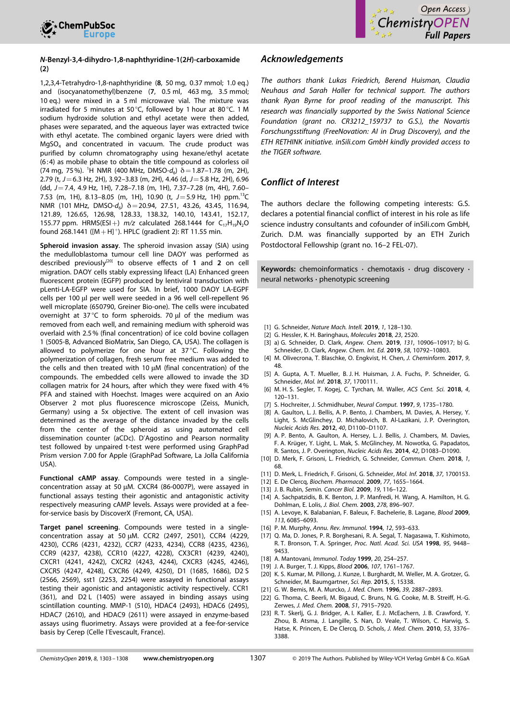



#### *N***-Benzyl-3,4-dihydro-1,8-naphthyridine-1(2***H***)-carboxamide (2)**

1,2,3,4-Tetrahydro-1,8-naphthyridine (**8**, 50 mg, 0.37 mmol; 1.0 eq.) and (isocyanatomethyl)benzene (**7**, 0.5 ml, 463 mg, 3.5 mmol; 10 eq.) were mixed in a 5 ml microwave vial. The mixture was irradiated for 5 minutes at 50°C, followed by 1 hour at 80°C. 1 M sodium hydroxide solution and ethyl acetate were then added, phases were separated, and the aqueous layer was extracted twice with ethyl acetate. The combined organic layers were dried with  $MqSO<sub>4</sub>$  and concentrated in vacuum. The crude product was purified by column chromatography using hexane/ethyl acetate (6:4) as mobile phase to obtain the title compound as colorless oil (74 mg, 75%). <sup>1</sup>H NMR (400 MHz, DMSO- $d_6$ ) δ = 1.87–1.78 (m, 2H), 2.79 (t, *J*=6.3 Hz, 2H), 3.92–3.83 (m, 2H), 4.46 (d, *J*=5.8 Hz, 2H), 6.96 (dd, *J*=7.4, 4.9 Hz, 1H), 7.28–7.18 (m, 1H), 7.37–7.28 (m, 4H), 7.60– 7.53 (m, 1H), 8.13-8.05 (m, 1H), 10.90 (t, J=5.9 Hz, 1H) ppm.<sup>13</sup>C NMR (101 MHz, DMSO-d<sub>6</sub>) δ=20.94, 27.51, 43.26, 43.45, 116.94, 121.89, 126.65, 126.98, 128.33, 138.32, 140.10, 143.41, 152.17, 155.77 ppm. HRMS(ESI +)  $m/z$  calculated 268.1444 for  $C_{17}H_{19}N_2O$ found 268.1441 ( $[M+H]$ <sup>+</sup>). HPLC (gradient 2): RT 11.55 min.

**Spheroid invasion assay**. The spheroid invasion assay (SIA) using the medulloblastoma tumour cell line DAOY was performed as described previously[20] to observe effects of **1** and **2** on cell migration. DAOY cells stably expressing lifeact (LA) Enhanced green fluorescent protein (EGFP) produced by lentiviral transduction with pLenti-LA-EGFP were used for SIA. In brief, 1000 DAOY LA-EGPF cells per 100 μl per well were seeded in a 96 well cell-repellent 96 well microplate (650790, Greiner Bio-one). The cells were incubated overnight at 37°C to form spheroids. 70 μl of the medium was removed from each well, and remaining medium with spheroid was overlaid with 2.5% (final concentration) of ice cold bovine collagen 1 (5005-B, Advanced BioMatrix, San Diego, CA, USA). The collagen is allowed to polymerize for one hour at 37°C. Following the polymerization of collagen, fresh serum free medium was added to the cells and then treated with 10 μM (final concentration) of the compounds. The embedded cells were allowed to invade the 3D collagen matrix for 24 hours, after which they were fixed with 4% PFA and stained with Hoechst. Images were acquired on an Axio Observer 2 mot plus fluorescence microscope (Zeiss, Munich, Germany) using a 5x objective. The extent of cell invasion was determined as the average of the distance invaded by the cells from the center of the spheroid as using automated cell dissemination counter (aCDc). D'Agostino and Pearson normality test followed by unpaired t-test were performed using GraphPad Prism version 7.00 for Apple (GraphPad Software, La Jolla California USA).

**Functional cAMP assay**. Compounds were tested in a singleconcentration assay at 50 μM. CXCR4 (86-0007P), were assayed in functional assays testing their agonistic and antagonistic activity respectively measuring cAMP levels. Assays were provided at a feefor-service basis by DiscoverX (Fremont, CA, USA).

**Target panel screening**. Compounds were tested in a singleconcentration assay at 50 μM. CCR2 (2497, 2501), CCR4 (4229, 4230), CCR6 (4231, 4232), CCR7 (4233, 4234), CCR8 (4235, 4236), CCR9 (4237, 4238), CCR10 (4227, 4228), CX3CR1 (4239, 4240), CXCR1 (4241, 4242), CXCR2 (4243, 4244), CXCR3 (4245, 4246), CXCR5 (4247, 4248), CXCR6 (4249, 4250), D1 (1685, 1686), D2 S (2566, 2569), sst1 (2253, 2254) were assayed in functional assays testing their agonistic and antagonistic activity respectively. CCR1 (361), and D2 L (1405) were assayed in binding assays using scintillation counting. MMP-1 (510), HDAC4 (2493), HDAC6 (2495), HDAC7 (2610), and HDAC9 (2611) were assayed in enzyme-based assays using fluorimetry. Assays were provided at a fee-for-service basis by Cerep (Celle l'Evescault, France).

#### *Acknowledgements*

*The authors thank Lukas Friedrich, Berend Huisman, Claudia Neuhaus and Sarah Haller for technical support. The authors thank Ryan Byrne for proof reading of the manuscript. This research was financially supported by the Swiss National Science Foundation (grant no. CR3212\_159737 to G.S.), the Novartis Forschungsstiftung (FreeNovation: AI in Drug Discovery), and the ETH RETHINK initiative. inSili.com GmbH kindly provided access to the TIGER software.*

#### *Conflict of Interest*

The authors declare the following competing interests: G.S. declares a potential financial conflict of interest in his role as life science industry consultants and cofounder of inSili.com GmbH, Zurich. D.M. was financially supported by an ETH Zurich Postdoctoral Fellowship (grant no. 16–2 FEL-07).

**Keywords:** chemoinformatics **·** chemotaxis **·** drug discovery **·** neural networks **·** phenotypic screening

- [1] G. Schneider, *Nature Mach. Intell.* **2019**, *1*, [128–130](https://doi.org/10.1038/s42256-019-0030-7).
- [2] G. Hessler, K. H. Baringhaus, *[Molecules](https://doi.org/10.3390/molecules23102520)* **2018**, *23*, 2520.
- [3] a) G. Schneider, D. Clark, *Angew. Chem.* **2019**, *131*, [10906–10917](https://doi.org/10.1002/ange.201814681); b) G. Schneider, D. Clark, *Angew. Chem. Int. Ed.* **2019**, *58*, [10792–10803](https://doi.org/10.1002/anie.201814681).
- [4] M. Olivecrona, T. Blaschke, O. Engkvist, H. Chen, *J. Cheminform.* **2017**, *9*, 48.
- [5] A. Gupta, A. T. Mueller, B. J. H. Huisman, J. A. Fuchs, P. Schneider, G. Schneider, *Mol. Inf.* **2018**, *37*, [1700111](https://doi.org/10.1002/minf.201700111).
- [6] M. H. S. Segler, T. Kogej, C. Tyrchan, M. Waller, *ACS Cent. Sci.* **[2018](https://doi.org/10.1021/acscentsci.7b00512)**, *4*, [120–131](https://doi.org/10.1021/acscentsci.7b00512).
- [7] S. Hochreiter, J. Schmidhuber, *Neural Comput.* **1997**, *9*, [1735–1780](https://doi.org/10.1162/neco.1997.9.8.1735).
- [8] A. Gaulton, L. J. Bellis, A. P. Bento, J. Chambers, M. Davies, A. Hersey, Y. Light, S. McGlinchey, D. Michalovich, B. Al-Lazikani, J. P. Overington, *Nucleic Acids Res.* **2012**, *40*, [D1100–D1107](https://doi.org/10.1093/nar/gkr777).
- [9] A. P. Bento, A. Gaulton, A. Hersey, L. J. Bellis, J. Chambers, M. Davies, F. A. Krüger, Y. Light, L. Mak, S. McGlinchey, M. Nowotka, G. Papadatos, R. Santos, J. P. Overington, *Nucleic Acids Res.* **2014**, *42*, [D1083–D1090](https://doi.org/10.1093/nar/gkt1031).
- [10] D. Merk, F. Grisoni, L. Friedrich, G. Schneider, *Commun. Chem.* **2018**, *1*, 68.
- [11] D. Merk, L. Friedrich, F. Grisoni, G. Schneider, *Mol. Inf.* **2018**, *37*, [1700153.](https://doi.org/10.1002/minf.201700153)
- [12] E. De Clercq, *Biochem. [Pharmacol.](https://doi.org/10.1016/j.bcp.2008.12.014)* **2009**, *77*, 1655–1664.
- [13] J. B. Rubin, *Semin. Cancer Biol.* **2009**, *19*, [116–122.](https://doi.org/10.1016/j.semcancer.2008.10.001)
- [14] A. Sachpatzidis, B. K. Benton, J. P. Manfredi, H. Wang, A. Hamilton, H. G. Dohlman, E. Lolis, *J. Biol. Chem.* **2003**, *278*, [896–907.](https://doi.org/10.1074/jbc.M204667200)
- [15] A. Levoye, K. Balabanian, F. Baleux, F. Bachelerie, B. Lagane, *[Blood](https://doi.org/10.1182/blood-2008-12-196618)* **2009**, *113*, [6085–6093.](https://doi.org/10.1182/blood-2008-12-196618)
- [16] P. M. Murphy, *Annu. Rev. [Immunol.](https://doi.org/10.1146/annurev.iy.12.040194.003113)* **1994**, *12*, 593–633.
- [17] Q. Ma, D. Jones, P. R. Borghesani, R. A. Segal, T. Nagasawa, T. Kishimoto, R. T. Bronson, T. A. Springer, *Proc. Natl. Acad. Sci. USA* **1998**, *95*, [9448–](https://doi.org/10.1073/pnas.95.16.9448) [9453.](https://doi.org/10.1073/pnas.95.16.9448)
- [18] A. Mantovani, *[Immunol.](https://doi.org/10.1016/S0167-5699(99)01469-3) Today* **1999**, *20*, 254–257.
- [19] J. A. Burger, T. J. Kipps, *Blood* **2006**, *107*, [1761–1767](https://doi.org/10.1182/blood-2005-08-3182).
- [20] K. S. Kumar, M. Pillong, J. Kunze, I. Burghardt, M. Weller, M. A. Grotzer, G. Schneider, M. Baumgartner, *Sci. Rep.* **2015**, *5*, 15338.
- [21] G. W. Bemis, M. A. Murcko, *J. Med. Chem.* **1996**, *39*, [2887–2893](https://doi.org/10.1021/jm9602928).
- [22] G. Thoma, C. Beerli, M. Bigaud, C. Bruns, N. G. Cooke, M. B. Streiff, H.-G. Zerwes, *J. Med. Chem.* **2008**, *51*, [7915–7920](https://doi.org/10.1021/jm801065q).
- [23] R. T. Skerlj, G. J. Bridger, A. I. Kaller, E. J. McEachern, J. B. Crawford, Y. Zhou, B. Atsma, J. Langille, S. Nan, D. Veale, T. Wilson, C. Harwig, S. Hatse, K. Princen, E. De Clercq, D. Schols, *J. Med. [Chem.](https://doi.org/10.1021/jm100073m)* **2010**, *53*, 3376– [3388.](https://doi.org/10.1021/jm100073m)